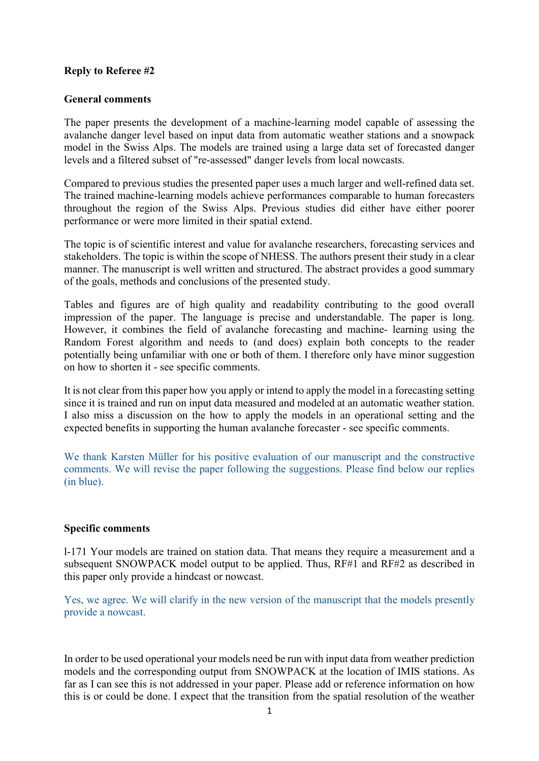# **Reply to Referee #2**

# **General comments**

The paper presents the development of a machine-learning model capable of assessing the avalanche danger level based on input data from automatic weather stations and a snowpack model in the Swiss Alps. The models are trained using a large data set of forecasted danger levels and a filtered subset of "re-assessed" danger levels from local nowcasts.

Compared to previous studies the presented paper uses a much larger and well-refined data set. The trained machine-learning models achieve performances comparable to human forecasters throughout the region of the Swiss Alps. Previous studies did either have either poorer performance or were more limited in their spatial extend.

The topic is of scientific interest and value for avalanche researchers, forecasting services and stakeholders. The topic is within the scope of NHESS. The authors present their study in a clear manner. The manuscript is well written and structured. The abstract provides a good summary of the goals, methods and conclusions of the presented study.

Tables and figures are of high quality and readability contributing to the good overall impression of the paper. The language is precise and understandable. The paper is long. However, it combines the field of avalanche forecasting and machine- learning using the Random Forest algorithm and needs to (and does) explain both concepts to the reader potentially being unfamiliar with one or both of them. I therefore only have minor suggestion on how to shorten it - see specific comments.

It is not clear from this paper how you apply or intend to apply the model in a forecasting setting since it is trained and run on input data measured and modeled at an automatic weather station. I also miss a discussion on the how to apply the models in an operational setting and the expected benefits in supporting the human avalanche forecaster - see specific comments.

We thank Karsten Müller for his positive evaluation of our manuscript and the constructive comments. We will revise the paper following the suggestions. Please find below our replies (in blue).

# **Specific comments**

l-171 Your models are trained on station data. That means they require a measurement and a subsequent SNOWPACK model output to be applied. Thus, RF#1 and RF#2 as described in this paper only provide a hindcast or nowcast.

Yes, we agree. We will clarify in the new version of the manuscript that the models presently provide a nowcast.

In order to be used operational your models need be run with input data from weather prediction models and the corresponding output from SNOWPACK at the location of IMIS stations. As far as I can see this is not addressed in your paper. Please add or reference information on how this is or could be done. I expect that the transition from the spatial resolution of the weather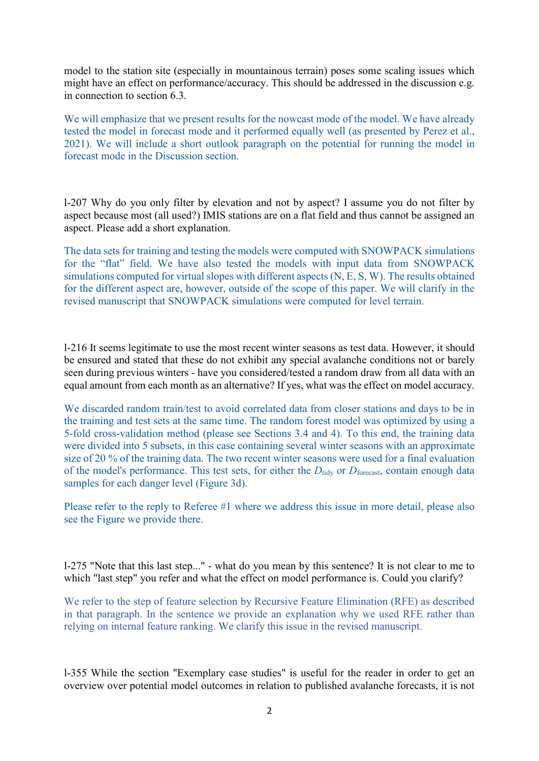model to the station site (especially in mountainous terrain) poses some scaling issues which might have an effect on performance/accuracy. This should be addressed in the discussion e.g. in connection to section 6.3.

We will emphasize that we present results for the nowcast mode of the model. We have already tested the model in forecast mode and it performed equally well (as presented by Perez et al., 2021). We will include a short outlook paragraph on the potential for running the model in forecast mode in the Discussion section.

l-207 Why do you only filter by elevation and not by aspect? I assume you do not filter by aspect because most (all used?) IMIS stations are on a flat field and thus cannot be assigned an aspect. Please add a short explanation.

The data sets for training and testing the models were computed with SNOWPACK simulations for the "flat" field. We have also tested the models with input data from SNOWPACK simulations computed for virtual slopes with different aspects (N, E, S, W). The results obtained for the different aspect are, however, outside of the scope of this paper. We will clarify in the revised manuscript that SNOWPACK simulations were computed for level terrain.

l-216 It seems legitimate to use the most recent winter seasons as test data. However, it should be ensured and stated that these do not exhibit any special avalanche conditions not or barely seen during previous winters - have you considered/tested a random draw from all data with an equal amount from each month as an alternative? If yes, what was the effect on model accuracy.

We discarded random train/test to avoid correlated data from closer stations and days to be in the training and test sets at the same time. The random forest model was optimized by using a 5-fold cross-validation method (please see Sections 3.4 and 4). To this end, the training data were divided into 5 subsets, in this case containing several winter seasons with an approximate size of 20 % of the training data. The two recent winter seasons were used for a final evaluation of the model's performance. This test sets, for either the *D*<sub>tidy</sub> or *D*<sub>forecast</sub>, contain enough data samples for each danger level (Figure 3d).

Please refer to the reply to Referee #1 where we address this issue in more detail, please also see the Figure we provide there.

l-275 "Note that this last step..." - what do you mean by this sentence? It is not clear to me to which "last step" you refer and what the effect on model performance is. Could you clarify?

We refer to the step of feature selection by Recursive Feature Elimination (RFE) as described in that paragraph. In the sentence we provide an explanation why we used RFE rather than relying on internal feature ranking. We clarify this issue in the revised manuscript.

l-355 While the section "Exemplary case studies" is useful for the reader in order to get an overview over potential model outcomes in relation to published avalanche forecasts, it is not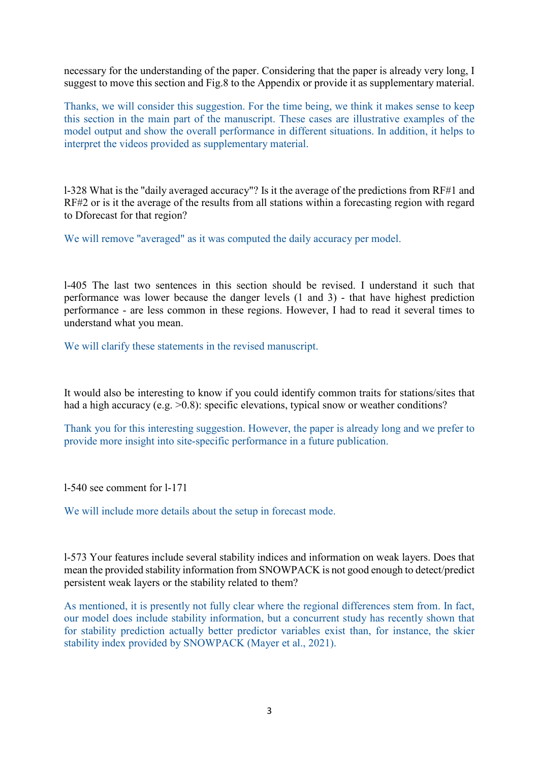necessary for the understanding of the paper. Considering that the paper is already very long, I suggest to move this section and Fig.8 to the Appendix or provide it as supplementary material.

Thanks, we will consider this suggestion. For the time being, we think it makes sense to keep this section in the main part of the manuscript. These cases are illustrative examples of the model output and show the overall performance in different situations. In addition, it helps to interpret the videos provided as supplementary material.

l-328 What is the "daily averaged accuracy"? Is it the average of the predictions from RF#1 and RF#2 or is it the average of the results from all stations within a forecasting region with regard to Dforecast for that region?

We will remove "averaged" as it was computed the daily accuracy per model.

l-405 The last two sentences in this section should be revised. I understand it such that performance was lower because the danger levels (1 and 3) - that have highest prediction performance - are less common in these regions. However, I had to read it several times to understand what you mean.

We will clarify these statements in the revised manuscript.

It would also be interesting to know if you could identify common traits for stations/sites that had a high accuracy (e.g. >0.8): specific elevations, typical snow or weather conditions?

Thank you for this interesting suggestion. However, the paper is already long and we prefer to provide more insight into site-specific performance in a future publication.

l-540 see comment for l-171

We will include more details about the setup in forecast mode.

l-573 Your features include several stability indices and information on weak layers. Does that mean the provided stability information from SNOWPACK is not good enough to detect/predict persistent weak layers or the stability related to them?

As mentioned, it is presently not fully clear where the regional differences stem from. In fact, our model does include stability information, but a concurrent study has recently shown that for stability prediction actually better predictor variables exist than, for instance, the skier stability index provided by SNOWPACK (Mayer et al., 2021).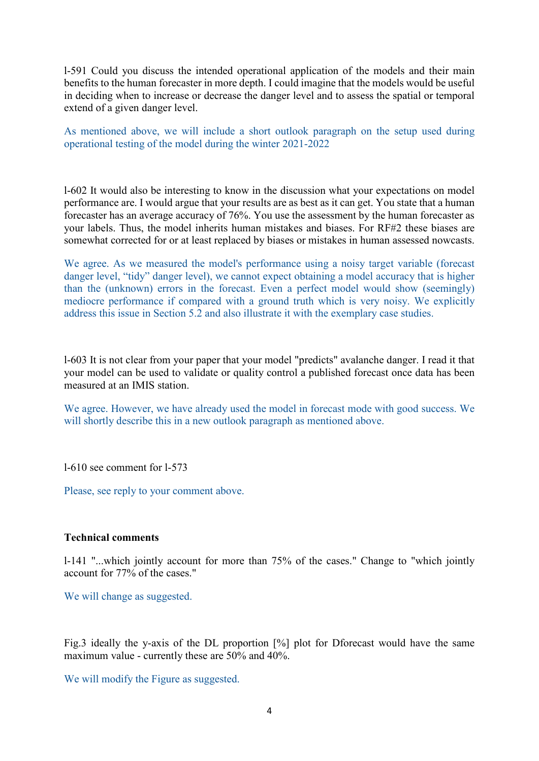l-591 Could you discuss the intended operational application of the models and their main benefits to the human forecaster in more depth. I could imagine that the models would be useful in deciding when to increase or decrease the danger level and to assess the spatial or temporal extend of a given danger level.

As mentioned above, we will include a short outlook paragraph on the setup used during operational testing of the model during the winter 2021-2022

l-602 It would also be interesting to know in the discussion what your expectations on model performance are. I would argue that your results are as best as it can get. You state that a human forecaster has an average accuracy of 76%. You use the assessment by the human forecaster as your labels. Thus, the model inherits human mistakes and biases. For RF#2 these biases are somewhat corrected for or at least replaced by biases or mistakes in human assessed nowcasts.

We agree. As we measured the model's performance using a noisy target variable (forecast danger level, "tidy" danger level), we cannot expect obtaining a model accuracy that is higher than the (unknown) errors in the forecast. Even a perfect model would show (seemingly) mediocre performance if compared with a ground truth which is very noisy. We explicitly address this issue in Section 5.2 and also illustrate it with the exemplary case studies.

l-603 It is not clear from your paper that your model "predicts" avalanche danger. I read it that your model can be used to validate or quality control a published forecast once data has been measured at an IMIS station.

We agree. However, we have already used the model in forecast mode with good success. We will shortly describe this in a new outlook paragraph as mentioned above.

l-610 see comment for l-573

Please, see reply to your comment above.

# **Technical comments**

l-141 "...which jointly account for more than 75% of the cases." Change to "which jointly account for 77% of the cases."

We will change as suggested.

Fig.3 ideally the y-axis of the DL proportion [%] plot for Dforecast would have the same maximum value - currently these are 50% and 40%.

We will modify the Figure as suggested.